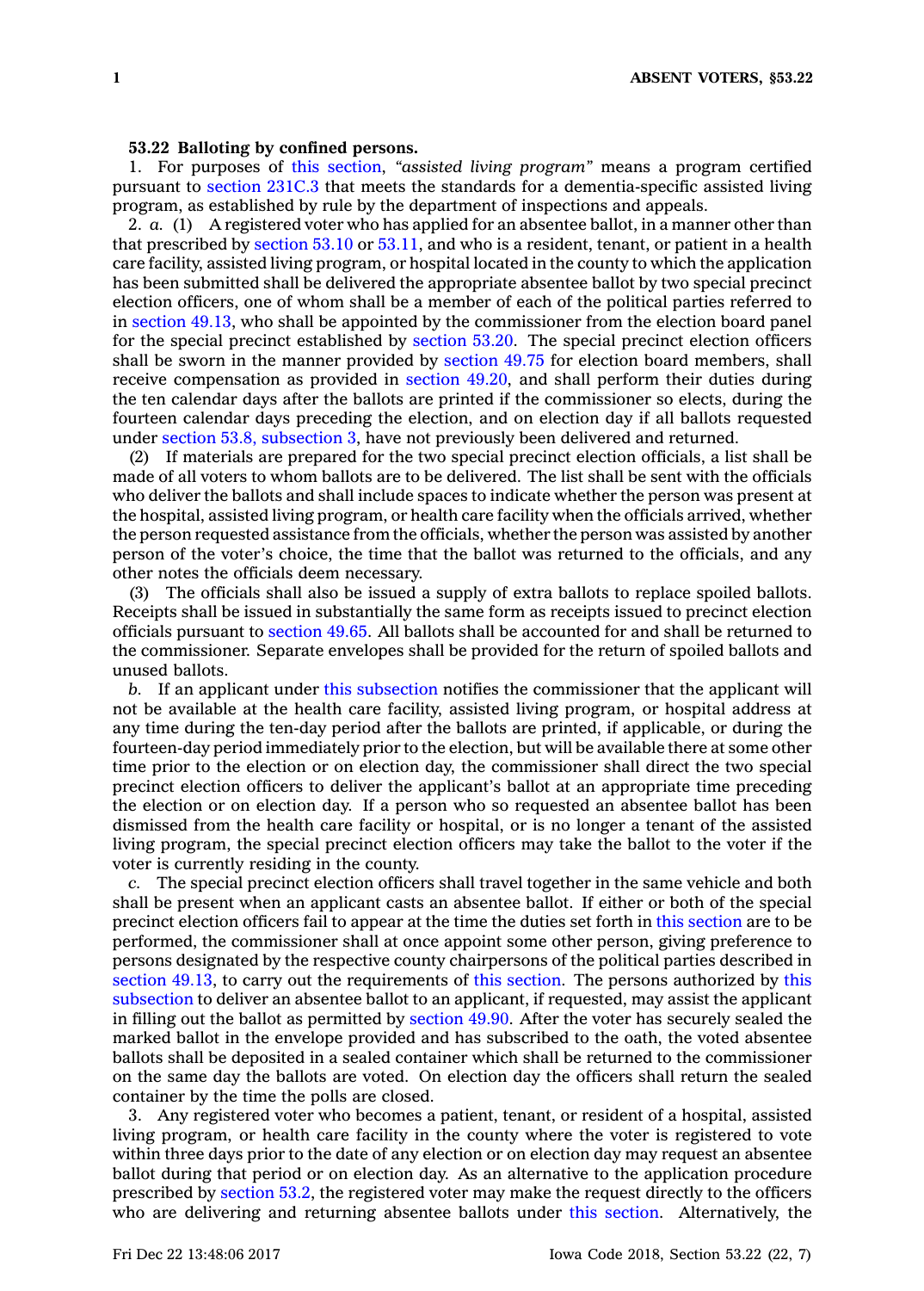## **53.22 Balloting by confined persons.**

1. For purposes of this [section](https://www.legis.iowa.gov/docs/code/53.22.pdf), *"assisted living program"* means <sup>a</sup> program certified pursuant to [section](https://www.legis.iowa.gov/docs/code/231C.3.pdf) 231C.3 that meets the standards for <sup>a</sup> dementia-specific assisted living program, as established by rule by the department of inspections and appeals.

2. *a.* (1) A registered voter who has applied for an absentee ballot, in <sup>a</sup> manner other than that prescribed by [section](https://www.legis.iowa.gov/docs/code/53.10.pdf)  $53.10$  or  $53.11$ , and who is a resident, tenant, or patient in a health care facility, assisted living program, or hospital located in the county to which the application has been submitted shall be delivered the appropriate absentee ballot by two special precinct election officers, one of whom shall be <sup>a</sup> member of each of the political parties referred to in [section](https://www.legis.iowa.gov/docs/code/49.13.pdf) 49.13, who shall be appointed by the commissioner from the election board panel for the special precinct established by [section](https://www.legis.iowa.gov/docs/code/53.20.pdf) 53.20. The special precinct election officers shall be sworn in the manner provided by [section](https://www.legis.iowa.gov/docs/code/49.75.pdf) 49.75 for election board members, shall receive compensation as provided in [section](https://www.legis.iowa.gov/docs/code/49.20.pdf) 49.20, and shall perform their duties during the ten calendar days after the ballots are printed if the commissioner so elects, during the fourteen calendar days preceding the election, and on election day if all ballots requested under section 53.8, [subsection](https://www.legis.iowa.gov/docs/code/53.8.pdf) 3, have not previously been delivered and returned.

(2) If materials are prepared for the two special precinct election officials, <sup>a</sup> list shall be made of all voters to whom ballots are to be delivered. The list shall be sent with the officials who deliver the ballots and shall include spaces to indicate whether the person was present at the hospital, assisted living program, or health care facility when the officials arrived, whether the person requested assistance from the officials, whether the person was assisted by another person of the voter's choice, the time that the ballot was returned to the officials, and any other notes the officials deem necessary.

(3) The officials shall also be issued <sup>a</sup> supply of extra ballots to replace spoiled ballots. Receipts shall be issued in substantially the same form as receipts issued to precinct election officials pursuant to [section](https://www.legis.iowa.gov/docs/code/49.65.pdf) 49.65. All ballots shall be accounted for and shall be returned to the commissioner. Separate envelopes shall be provided for the return of spoiled ballots and unused ballots.

*b.* If an applicant under this [subsection](https://www.legis.iowa.gov/docs/code/53.22.pdf) notifies the commissioner that the applicant will not be available at the health care facility, assisted living program, or hospital address at any time during the ten-day period after the ballots are printed, if applicable, or during the fourteen-day period immediately prior to the election, but will be available there at some other time prior to the election or on election day, the commissioner shall direct the two special precinct election officers to deliver the applicant's ballot at an appropriate time preceding the election or on election day. If <sup>a</sup> person who so requested an absentee ballot has been dismissed from the health care facility or hospital, or is no longer <sup>a</sup> tenant of the assisted living program, the special precinct election officers may take the ballot to the voter if the voter is currently residing in the county.

*c.* The special precinct election officers shall travel together in the same vehicle and both shall be present when an applicant casts an absentee ballot. If either or both of the special precinct election officers fail to appear at the time the duties set forth in this [section](https://www.legis.iowa.gov/docs/code/53.22.pdf) are to be performed, the commissioner shall at once appoint some other person, giving preference to persons designated by the respective county chairpersons of the political parties described in [section](https://www.legis.iowa.gov/docs/code/49.13.pdf) 49.13, to carry out the requirements of this [section](https://www.legis.iowa.gov/docs/code/53.22.pdf). The persons authorized by [this](https://www.legis.iowa.gov/docs/code/53.22.pdf) [subsection](https://www.legis.iowa.gov/docs/code/53.22.pdf) to deliver an absentee ballot to an applicant, if requested, may assist the applicant in filling out the ballot as permitted by [section](https://www.legis.iowa.gov/docs/code/49.90.pdf) 49.90. After the voter has securely sealed the marked ballot in the envelope provided and has subscribed to the oath, the voted absentee ballots shall be deposited in <sup>a</sup> sealed container which shall be returned to the commissioner on the same day the ballots are voted. On election day the officers shall return the sealed container by the time the polls are closed.

3. Any registered voter who becomes <sup>a</sup> patient, tenant, or resident of <sup>a</sup> hospital, assisted living program, or health care facility in the county where the voter is registered to vote within three days prior to the date of any election or on election day may request an absentee ballot during that period or on election day. As an alternative to the application procedure prescribed by [section](https://www.legis.iowa.gov/docs/code/53.2.pdf) 53.2, the registered voter may make the request directly to the officers who are delivering and returning absentee ballots under this [section](https://www.legis.iowa.gov/docs/code/53.22.pdf). Alternatively, the